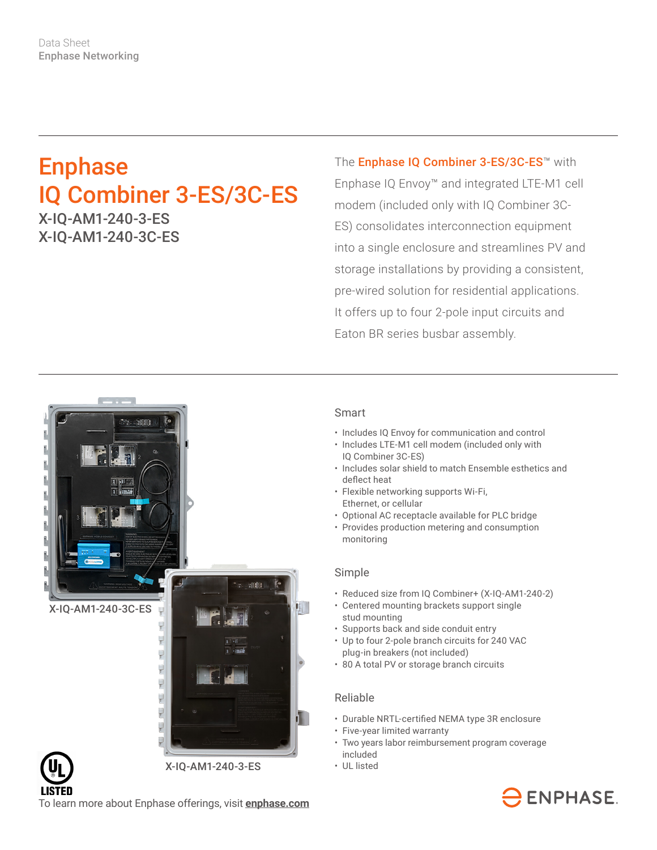# Enphase IQ Combiner 3-ES/3C-ES

X-IQ-AM1-240-3-ES X-IQ-AM1-240-3C-ES

The **Enphase IQ Combiner 3-ES/3C-ES<sup>™</sup> with** Enphase IQ Envoy™ and integrated LTE-M1 cell modem (included only with IQ Combiner 3C-ES) consolidates interconnection equipment into a single enclosure and streamlines PV and storage installations by providing a consistent, pre-wired solution for residential applications. It offers up to four 2-pole input circuits and Eaton BR series busbar assembly.



### Smart

- Includes IQ Envoy for communication and control
- Includes LTE-M1 cell modem (included only with IQ Combiner 3C-ES)
- Includes solar shield to match Ensemble esthetics and deflect heat
- Flexible networking supports Wi-Fi, Ethernet, or cellular
- Optional AC receptacle available for PLC bridge
- Provides production metering and consumption monitoring

#### Simple

- Reduced size from IQ Combiner+ (X-IQ-AM1-240-2)
- Centered mounting brackets support single stud mounting
- Supports back and side conduit entry
- Up to four 2-pole branch circuits for 240 VAC plug-in breakers (not included)
- 80 A total PV or storage branch circuits

#### Reliable

- Durable NRTL-certified NEMA type 3R enclosure
- Five-year limited warranty
- Two years labor reimbursement program coverage included
- UL listed



To learn more about Enphase offerings, visit **[enphase.com](http://enphase.com)**